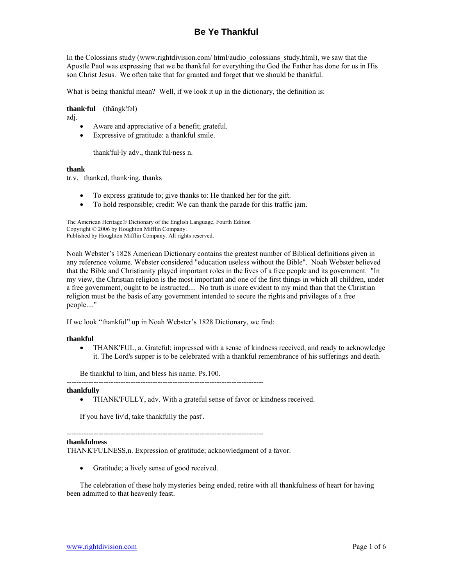# **Be Ye Thankful**

In the Colossians study (www.rightdivision.com/ html/audio\_colossians\_study.html), we saw that the Apostle Paul was expressing that we be thankful for everything the God the Father has done for us in His son Christ Jesus. We often take that for granted and forget that we should be thankful.

What is being thankful mean? Well, if we look it up in the dictionary, the definition is:

### **thank·ful** (thāngk'fəl)

adj.

- Aware and appreciative of a benefit; grateful.
- Expressive of gratitude: a thankful smile.

thank'ful·ly adv., thank'ful·ness n.

#### **thank**

tr.v. thanked, thank·ing, thanks

- To express gratitude to; give thanks to: He thanked her for the gift.
- To hold responsible; credit: We can thank the parade for this traffic jam.

The American Heritage® Dictionary of the English Language, Fourth Edition Copyright © 2006 by Houghton Mifflin Company. Published by Houghton Mifflin Company. All rights reserved.

Noah Webster's 1828 American Dictionary contains the greatest number of Biblical definitions given in any reference volume. Webster considered "education useless without the Bible". Noah Webster believed that the Bible and Christianity played important roles in the lives of a free people and its government. "In my view, the Christian religion is the most important and one of the first things in which all children, under a free government, ought to be instructed.... No truth is more evident to my mind than that the Christian religion must be the basis of any government intended to secure the rights and privileges of a free people...."

If we look "thankful" up in Noah Webster's 1828 Dictionary, we find:

### **thankful**

• THANK'FUL, a. Grateful; impressed with a sense of kindness received, and ready to acknowledge it. The Lord's supper is to be celebrated with a thankful remembrance of his sufferings and death.

Be thankful to him, and bless his name. Ps.100.

#### ------------------------------------------------------------------------------- **thankfully**

• THANK'FULLY, adv. With a grateful sense of favor or kindness received.

If you have liv'd, take thankfully the past'.

--------------------------------------------------------------------------------

## **thankfulness**

THANK'FULNESS,n. Expression of gratitude; acknowledgment of a favor.

• Gratitude; a lively sense of good received.

The celebration of these holy mysteries being ended, retire with all thankfulness of heart for having been admitted to that heavenly feast.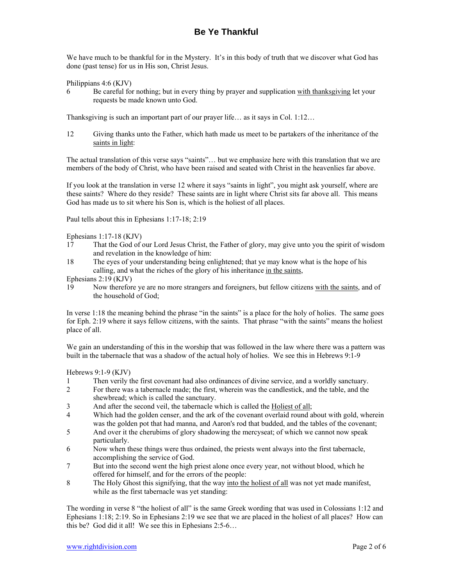# **Be Ye Thankful**

We have much to be thankful for in the Mystery. It's in this body of truth that we discover what God has done (past tense) for us in His son, Christ Jesus.

Philippians 4:6 (KJV)

6 Be careful for nothing; but in every thing by prayer and supplication with thanksgiving let your requests be made known unto God.

Thanksgiving is such an important part of our prayer life… as it says in Col. 1:12…

12 Giving thanks unto the Father, which hath made us meet to be partakers of the inheritance of the saints in light:

The actual translation of this verse says "saints"… but we emphasize here with this translation that we are members of the body of Christ, who have been raised and seated with Christ in the heavenlies far above.

If you look at the translation in verse 12 where it says "saints in light", you might ask yourself, where are these saints? Where do they reside? These saints are in light where Christ sits far above all. This means God has made us to sit where his Son is, which is the holiest of all places.

Paul tells about this in Ephesians 1:17-18; 2:19

Ephesians 1:17-18 (KJV)

- 17 That the God of our Lord Jesus Christ, the Father of glory, may give unto you the spirit of wisdom and revelation in the knowledge of him:
- 18 The eyes of your understanding being enlightened; that ye may know what is the hope of his calling, and what the riches of the glory of his inheritance in the saints,

Ephesians 2:19 (KJV)

19 Now therefore ye are no more strangers and foreigners, but fellow citizens with the saints, and of the household of God;

In verse 1:18 the meaning behind the phrase "in the saints" is a place for the holy of holies. The same goes for Eph. 2:19 where it says fellow citizens, with the saints. That phrase "with the saints" means the holiest place of all.

We gain an understanding of this in the worship that was followed in the law where there was a pattern was built in the tabernacle that was a shadow of the actual holy of holies. We see this in Hebrews 9:1-9

Hebrews 9:1-9 (KJV)

- 1 Then verily the first covenant had also ordinances of divine service, and a worldly sanctuary.
- 2 For there was a tabernacle made; the first, wherein was the candlestick, and the table, and the shewbread; which is called the sanctuary.
- 3 And after the second veil, the tabernacle which is called the Holiest of all;
- 4 Which had the golden censer, and the ark of the covenant overlaid round about with gold, wherein was the golden pot that had manna, and Aaron's rod that budded, and the tables of the covenant;
- 5 And over it the cherubims of glory shadowing the mercyseat; of which we cannot now speak particularly.
- 6 Now when these things were thus ordained, the priests went always into the first tabernacle, accomplishing the service of God.
- 7 But into the second went the high priest alone once every year, not without blood, which he offered for himself, and for the errors of the people:
- 8 The Holy Ghost this signifying, that the way into the holiest of all was not yet made manifest, while as the first tabernacle was yet standing:

The wording in verse 8 "the holiest of all" is the same Greek wording that was used in Colossians 1:12 and Ephesians 1:18; 2:19. So in Ephesians 2:19 we see that we are placed in the holiest of all places? How can this be? God did it all! We see this in Ephesians 2:5-6…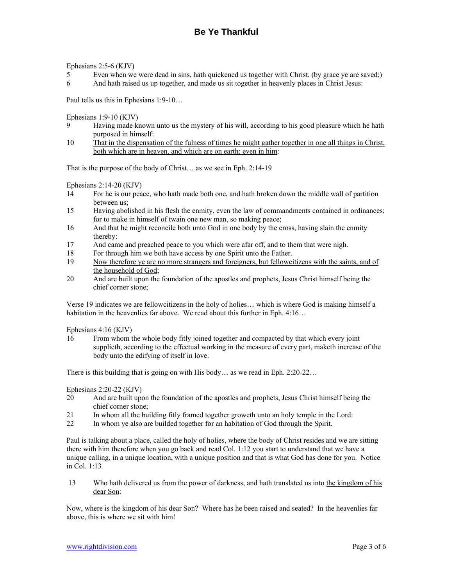Ephesians 2:5-6 (KJV)

- 5 Even when we were dead in sins, hath quickened us together with Christ, (by grace ye are saved;)
- 6 And hath raised us up together, and made us sit together in heavenly places in Christ Jesus:

Paul tells us this in Ephesians 1:9-10…

Ephesians 1:9-10 (KJV)

- 9 Having made known unto us the mystery of his will, according to his good pleasure which he hath purposed in himself:
- 10 That in the dispensation of the fulness of times he might gather together in one all things in Christ, both which are in heaven, and which are on earth; even in him:

That is the purpose of the body of Christ… as we see in Eph. 2:14-19

Ephesians 2:14-20 (KJV)

- 14 For he is our peace, who hath made both one, and hath broken down the middle wall of partition between us;
- 15 Having abolished in his flesh the enmity, even the law of commandments contained in ordinances; for to make in himself of twain one new man, so making peace;
- 16 And that he might reconcile both unto God in one body by the cross, having slain the enmity thereby:
- 17 And came and preached peace to you which were afar off, and to them that were nigh.
- 18 For through him we both have access by one Spirit unto the Father.
- 19 Now therefore ye are no more strangers and foreigners, but fellowcitizens with the saints, and of the household of God;
- 20 And are built upon the foundation of the apostles and prophets, Jesus Christ himself being the chief corner stone;

Verse 19 indicates we are fellowcitizens in the holy of holies… which is where God is making himself a habitation in the heavenlies far above. We read about this further in Eph. 4:16...

Ephesians 4:16 (KJV)

16 From whom the whole body fitly joined together and compacted by that which every joint supplieth, according to the effectual working in the measure of every part, maketh increase of the body unto the edifying of itself in love.

There is this building that is going on with His body… as we read in Eph. 2:20-22…

Ephesians 2:20-22 (KJV)

- 20 And are built upon the foundation of the apostles and prophets, Jesus Christ himself being the chief corner stone;
- 21 In whom all the building fitly framed together groweth unto an holy temple in the Lord:
- 22 In whom ye also are builded together for an habitation of God through the Spirit.

Paul is talking about a place, called the holy of holies, where the body of Christ resides and we are sitting there with him therefore when you go back and read Col. 1:12 you start to understand that we have a unique calling, in a unique location, with a unique position and that is what God has done for you. Notice in Col. 1:13

13 Who hath delivered us from the power of darkness, and hath translated us into the kingdom of his dear Son:

Now, where is the kingdom of his dear Son? Where has he been raised and seated? In the heavenlies far above, this is where we sit with him!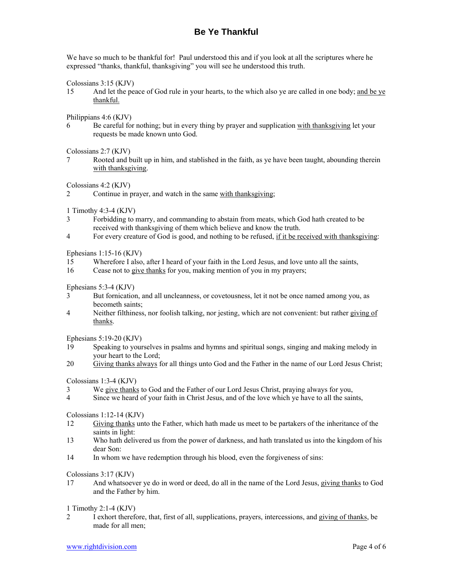# **Be Ye Thankful**

We have so much to be thankful for! Paul understood this and if you look at all the scriptures where he expressed "thanks, thankful, thanksgiving" you will see he understood this truth.

Colossians 3:15 (KJV)

15 And let the peace of God rule in your hearts, to the which also ye are called in one body; and be ye thankful.

Philippians 4:6 (KJV)

6 Be careful for nothing; but in every thing by prayer and supplication with thanksgiving let your requests be made known unto God.

Colossians 2:7 (KJV)

7 Rooted and built up in him, and stablished in the faith, as ye have been taught, abounding therein with thanksgiving.

Colossians 4:2 (KJV)

1 Timothy 4:3-4 (KJV)

- 3 Forbidding to marry, and commanding to abstain from meats, which God hath created to be received with thanksgiving of them which believe and know the truth.
- 4 For every creature of God is good, and nothing to be refused, if it be received with thanksgiving:

Ephesians 1:15-16 (KJV)

- 15 Wherefore I also, after I heard of your faith in the Lord Jesus, and love unto all the saints,
- 16 Cease not to give thanks for you, making mention of you in my prayers;

Ephesians 5:3-4 (KJV)

- 3 But fornication, and all uncleanness, or covetousness, let it not be once named among you, as becometh saints;
- 4 Neither filthiness, nor foolish talking, nor jesting, which are not convenient: but rather giving of thanks.

Ephesians 5:19-20 (KJV)

- 19 Speaking to yourselves in psalms and hymns and spiritual songs, singing and making melody in your heart to the Lord;
- 20 Giving thanks always for all things unto God and the Father in the name of our Lord Jesus Christ;

Colossians 1:3-4 (KJV)

- 3 We give thanks to God and the Father of our Lord Jesus Christ, praying always for you,
- 4 Since we heard of your faith in Christ Jesus, and of the love which ye have to all the saints,

Colossians 1:12-14 (KJV)

- 12 Giving thanks unto the Father, which hath made us meet to be partakers of the inheritance of the saints in light:
- 13 Who hath delivered us from the power of darkness, and hath translated us into the kingdom of his dear Son:
- 14 In whom we have redemption through his blood, even the forgiveness of sins:

Colossians 3:17 (KJV)

17 And whatsoever ye do in word or deed, do all in the name of the Lord Jesus, giving thanks to God and the Father by him.

1 Timothy 2:1-4 (KJV)

2 I exhort therefore, that, first of all, supplications, prayers, intercessions, and giving of thanks, be made for all men;

<sup>2</sup> Continue in prayer, and watch in the same with thanksgiving;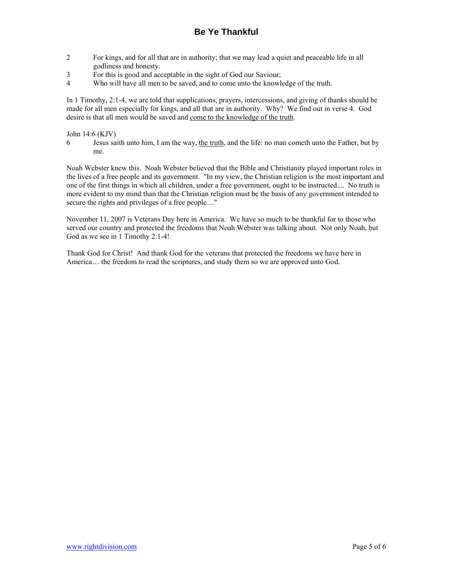- 2 For kings, and for all that are in authority; that we may lead a quiet and peaceable life in all godliness and honesty.
- 3 For this is good and acceptable in the sight of God our Saviour;
- 4 Who will have all men to be saved, and to come unto the knowledge of the truth.

In 1 Timothy, 2:1-4, we are told that supplications, prayers, intercessions, and giving of thanks should be made for all men especially for kings, and all that are in authority. Why? We find out in verse 4. God desire is that all men would be saved and come to the knowledge of the truth.

## John 14:6 (KJV)

6 Jesus saith unto him, I am the way, the truth, and the life: no man cometh unto the Father, but by me.

Noah Webster knew this. Noah Webster believed that the Bible and Christianity played important roles in the lives of a free people and its government. "In my view, the Christian religion is the most important and one of the first things in which all children, under a free government, ought to be instructed.... No truth is more evident to my mind than that the Christian religion must be the basis of any government intended to secure the rights and privileges of a free people...."

November 11, 2007 is Veterans Day here in America. We have so much to be thankful for to those who served our country and protected the freedoms that Noah Webster was talking about. Not only Noah, but God as we see in 1 Timothy 2:1-4!

Thank God for Christ! And thank God for the veterans that protected the freedoms we have here in America… the freedom to read the scriptures, and study them so we are approved unto God.